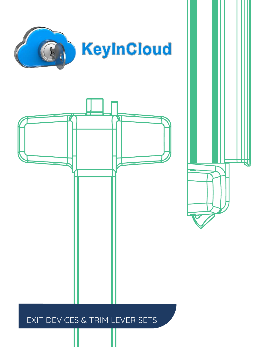





SERIES (STRA

# EXIT DEVICES & TRIM LEVER SETS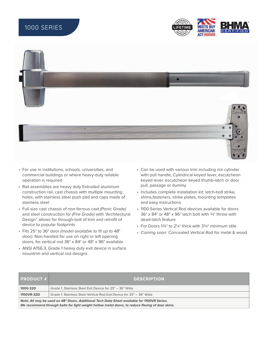## 1000 SERIES





- For use in institutions, schools, universities, and commercial buildings or where heavy-duty reliable operation is required
- Rail assemblies are heavy duty Extruded aluminum construction rail, cast chassis with multiple mounting holes, with stainless steel push pad and caps made of stainless steel
- Full size cast chassis of non-ferrous cast (Panic Grade) and steel construction for (Fire Grade) with "Architectural Design" allows for through-bolt of trim and retrofit of device to popular footprints
- Fits 25" to 36" door (model available to fit up to 48" door). Non-handed for use on right or left opening doors, for vertical rod 36" x 84" or 48" x 96" available
- ANSI A156.3, Grade 1 heavy duty exit device in surface mountrim and vertical rod designs
- Can be used with various trim including rim cylinder with pull handle, Cylindrical keyed lever, escutcheon keyed lever, escutcheon keyed thumb-latch or door pull, passage or dummy
- Includes complete installation kit; latch-bolt strike, shims,fasteners, strike plates, mounting templates and easy instructions
- 1100 Series Vertical Rod devices available for doors  $36" \times 84"$  or  $48" \times 96"$  latch bolt with  $\frac{3}{4}$ " throw with dead-latch feature
- For Doors 1¾" to 2¼" thick with 3¾" minimum stile
- Coming soon: Concealed Vertical Rod for metal & wood

| $\blacksquare$ PRODUCT $\#$ $\blacksquare$                                                                                                                                                      | <b>DESCRIPTION</b>                                                   |  |  |
|-------------------------------------------------------------------------------------------------------------------------------------------------------------------------------------------------|----------------------------------------------------------------------|--|--|
| 1000-32D                                                                                                                                                                                        | Grade 1, Stainless Steel Exit Device for 25" - 36" Wide              |  |  |
| 1100VR-32D                                                                                                                                                                                      | Grade 1, Stainless Steel Vertical Rod Exit Device for 25" - 36" Wide |  |  |
| Note: All may be used on 48" Doors. Additional Tech Data Sheet available for 1100VR Series.<br>We recommend through bolts for light weight hollow metal doors, to reduce flexing of door skins. |                                                                      |  |  |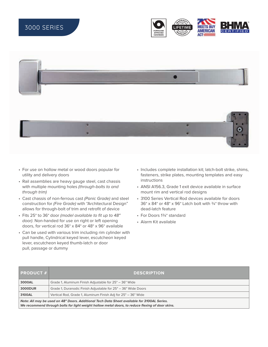# 3000 SERIES







- For use on hollow metal or wood doors popular for utility and delivery doors
- Rail assemblies are heavy gauge steel, cast chassis with multiple mounting holes (through-bolts to and through trim)
- Cast chassis of non-ferrous cast (Panic Grade) and steel construction for (Fire Grade) with "Architectural Design" allows for through-bolt of trim and retrofit of device
- Fits 25" to 36" door (model available to fit up to 48" door). Non-handed for use on right or left opening doors, for vertical rod 36" x 84" or 48" x 96" available
- Can be used with various trim including rim cylinder with pull handle, Cylindrical keyed lever, escutcheon keyed lever, escutcheon keyed thumb-latch or door pull, passage or dummy
- Includes complete installation kit; latch-bolt strike, shims, fasteners, strike plates, mounting templates and easy instructions
- ANSI A156.3, Grade 1 exit device available in surface mount rim and vertical rod designs
- 3100 Series Vertical Rod devices available for doors  $36" \times 84"$  or  $48" \times 96"$  Latch bolt with  $\frac{3}{4}$ " throw with dead-latch feature
- For Doors 1¾" standard
- Alarm Kit available

| $ $ PRODUCT $\#$ $ $                                                                                                                                                                            | <b>DESCRIPTION</b>                                            |  |
|-------------------------------------------------------------------------------------------------------------------------------------------------------------------------------------------------|---------------------------------------------------------------|--|
| 3000AL                                                                                                                                                                                          | Grade 1, Aluminum Finish Adjustable for 25" - 36" Wide        |  |
| <b>3000DUR</b>                                                                                                                                                                                  | Grade 1, Duranodic Finish Adjustable for 25" - 36" Wide Doors |  |
| 3100AL                                                                                                                                                                                          | Vertical Rod, Grade 1, Aluminum Finish Adj for 25" - 36" Wide |  |
| Note: All may be used on 48" Doors. Additional Tech Data Sheet available for 3100AL Series.<br>We recommend through bolts for light weight hollow metal doors, to reduce flexing of door skins. |                                                               |  |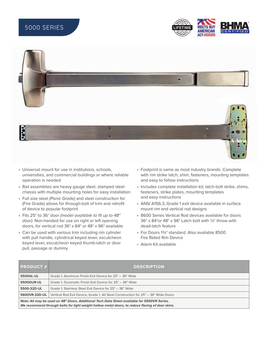## 5000 SERIES





- Universal mount for use in institutions, schools, universities, and commercial buildings or where reliable operation is needed
- Rail assemblies are heavy gauge steel, stamped steel chassis with multiple mounting holes for easy installation
- Full size steel (Panic Grade) and steel construction for (Fire Grade) allows for through-bolt of trim and retrofit of device to popular footprint
- Fits 25" to 36" door (model available to fit up to 48" door). Non-handed for use on right or left opening doors, for vertical rod 36" x 84" or 48" x 96" available
- Can be used with various trim including rim cylinder with pull handle, cylindrical keyed lever, escutcheon keyed lever, escutcheon keyed thumb-latch or door pull, passage or dummy
- Footprint is same as most industry brands. Complete with rim strike latch, shim, fasteners, mounting templates and easy to follow instructions
- Includes complete installation kit; latch-bolt strike, shims, fasteners, strike plates, mounting templates and easy instructions
- ANSI A156.3, Grade 1 exit device available in surface mount rim and vertical rod designs
- 8600 Series Vertical Rod devices available for doors 36" x 84" or 48" x 96" Latch bolt with  $\frac{3}{4}$ " throw with dead-latch feature
- For Doors 1¾" standard. Also available 8500 Fire Rated Rim Device
- Alarm Kit available

| $\mid$ PRODUCT $\# \mid$                                                                                                                                                                        | <b>DESCRIPTION</b>                                                                 |  |
|-------------------------------------------------------------------------------------------------------------------------------------------------------------------------------------------------|------------------------------------------------------------------------------------|--|
| 5500AL-UL                                                                                                                                                                                       | Grade 1, Aluminum Finish Exit Device for 25" - 36" Wide                            |  |
| <b>5500DUR-UL</b>                                                                                                                                                                               | Grade 1, Duranodic Finish Exit Device for 25" - 36" Wide                           |  |
| 5500-32D-UL                                                                                                                                                                                     | Grade 1, Stainless Steel Exit Device for 25" - 36" Wide                            |  |
| 5600VR-32D-UL                                                                                                                                                                                   | Vertical Rod Exit Device, Grade 1, All Steel Construction for 25" - 36" Wide Doors |  |
| Note: All may be used on 48" Doors. Additional Tech Data Sheet available for 5500VR Series.<br>We recommend through bolts for light weight hollow metal doors, to reduce flexing of door skins. |                                                                                    |  |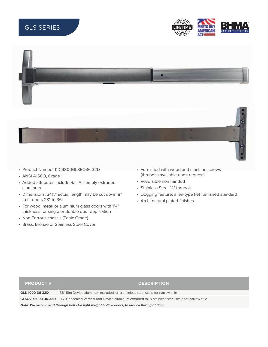# GLS SERIES





- Product Number KIC9800GLSEO36 32D
- ANSI A156.3, Grade 1
- Added attributes include Rail Assembly extruded aluminum
- Dimensions: 341⁄2" actual length may be cut down 8" to fit doors 28" to 36"
- For wood, metal or aluminium glass doors with 13⁄4" thickness for single or double door application
- Non-Ferrous chassis (Panic Grade)
- Brass, Bronze or Stainless Steel Cover
- Furnished with wood and machine screws (thrubolts available upon request)
- Reversible non handed
- Stainless Steel 3/4" thrubolt
- Dogging feature; allen-type ket furnished standard
- Architectural plated finishes

| $\blacksquare$ PRODUCT $\#$ $\blacksquare$                                                 | <b>DESCRIPTION</b>                                                                                                          |  |  |
|--------------------------------------------------------------------------------------------|-----------------------------------------------------------------------------------------------------------------------------|--|--|
| GLS-1000-36-32D                                                                            | 36" Rim Device aluminum extruded rail x stainless steel scalp for narrow stile                                              |  |  |
|                                                                                            | <b>GLSCVR-1000-36-32D</b> 36" Concealed Vertical Rod Device aluminum extruded rail x stainless steel scalp for narrow stile |  |  |
| Note: We recommend through bolts for light weight hollow doors, to reduce flexing of door. |                                                                                                                             |  |  |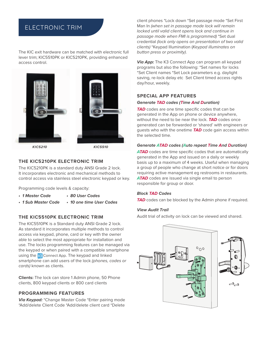### ELECTRONIC TRIM

The KIC exit hardware can be matched with electronic full lever trim; KIC5510PK or KIC5210PK, providing enhanced access control.



### **THE KIC5210PK ELECTRONIC TRIM**

The KIC5210PK is a standard duty ANSI Grade 2 lock. It incorporates electronic and mechanical methods to control access via stainless steel electronic keypad or key.

Programming code levels & capacity:

- **1 Master Code • 80 User Codes**
- **• 1 Sub Master Code • 10 one time User Codes**

### **THE KIC5510PK ELECTRONIC TRIM**

The KIC5510PK is a Standard duty ANSI Grade 2 lock. As standard it incorporates multiple methods to control access via keypad, phone, card or key with the owner able to select the most appropriate for installation and use. The locks programming features can be managed via the keypad or when paired with a compatible smartphone using the **IQ** Connect App. The keypad and linked smartphone can add users of the lock (phones, codes or cards) known as clients.

**Clients:** The lock can store 1 Admin phone, 50 Phone clients, 800 keypad clients or 800 card clients

### **PROGRAMMING FEATURES**

**Via Keypad:** \*Change Master Code \*Enter pairing mode \*Add/delete Client Code \*Add/delete client card \*Delete

client phones \*Lock down \*Set passage mode \*Set First Man In (when set in passage mode lock will remain locked until valid client opens lock and continue in passage mode when FMI is programmed) \*Set dual credential (lock only opens on presentation of two valid clients) \*Keypad Illumination (Keypad illuminates on button press or proximity).

**Via App:** The K3 Connect App can program all keypad programs but also the following: \*Set names for locks \*Set Client names \*Set Lock parameters e.g. daylight saving, re-lock delay etc Set Client timed access rights day/hour, weekly.

#### **SPECIAL APP FEATURES**

#### **Generate TAD codes (Time And Duration)**

TAD codes are one time specific codes that can be generated in the App on phone or device anywhere, without the need to be near the lock. **TAD** codes once generated can be forwarded or 'shared' with engineers or guests who with the onetime **TAD** code gain access within the selected time.

#### **Generate ATAD codes (Auto repeat Time And Duration)**

ATAD codes are time specific codes that are automatically generated in the App and issued on a daily or weekly basis up to a maximum of 4 weeks. Useful when managing a group of people who change at short notice or for doors requiring active management eg restrooms in restaurants. **ATAD** codes are issued via single email to person responsible for group or door.

#### **Block TAD Codes**

**TAD** codes can be blocked by the Admin phone if required.

#### **View Audit Trail**

Audit trial of activity on lock can be viewed and shared.